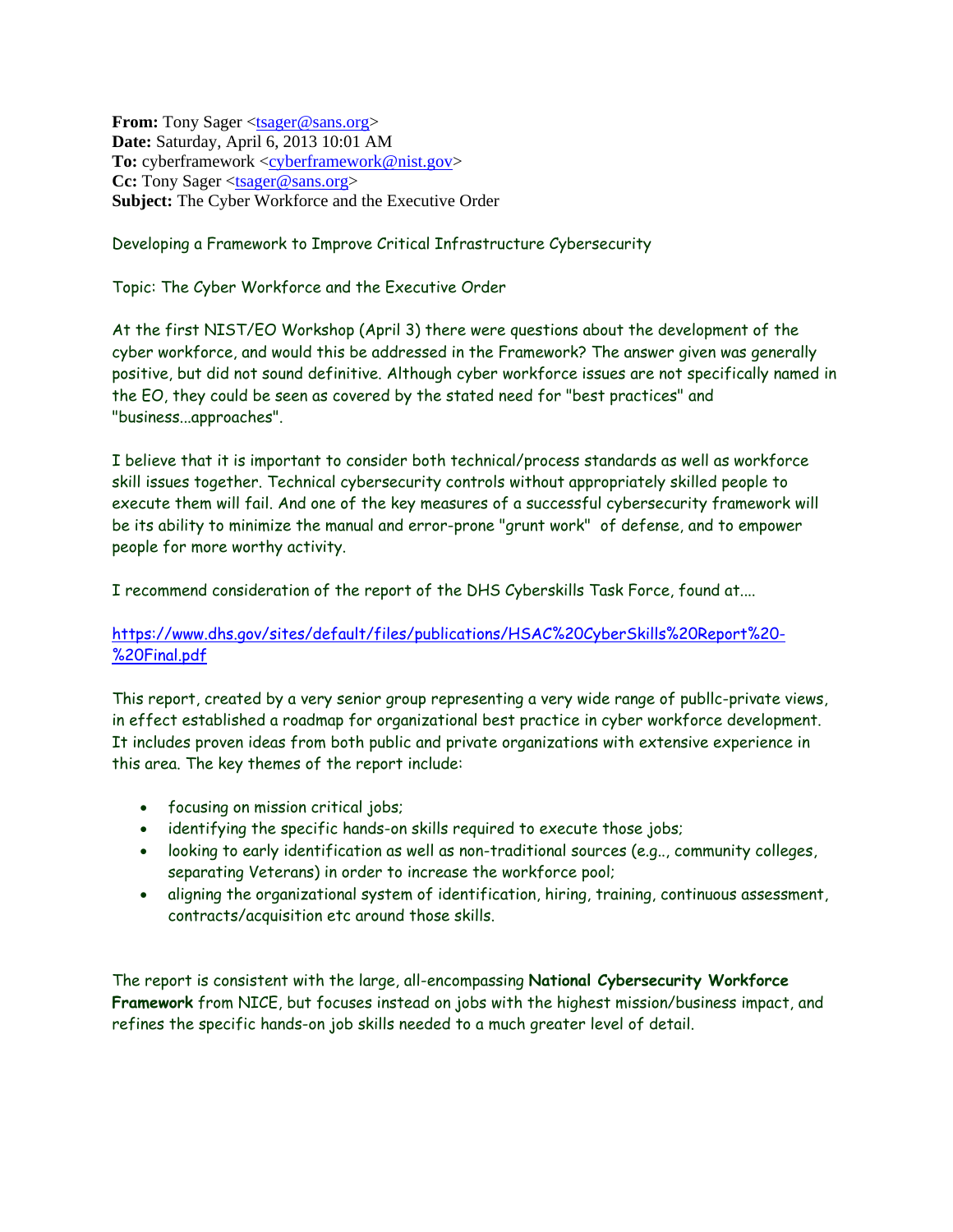**From:** Tony Sager [<tsager@sans.org>](mailto:tsager@sans.org) **Date:** Saturday, April 6, 2013 10:01 AM **To:** cyberframework [<cyberframework@nist.gov>](mailto:cyberframework@nist.gov) **Cc:** Tony Sager [<tsager@sans.org>](mailto:tsager@sans.org) **Subject:** The Cyber Workforce and the Executive Order

## Developing a Framework to Improve Critical Infrastructure Cybersecurity

Topic: The Cyber Workforce and the Executive Order

At the first NIST/EO Workshop (April 3) there were questions about the development of the cyber workforce, and would this be addressed in the Framework? The answer given was generally positive, but did not sound definitive. Although cyber workforce issues are not specifically named in the EO, they could be seen as covered by the stated need for "best practices" and "business...approaches".

I believe that it is important to consider both technical/process standards as well as workforce skill issues together. Technical cybersecurity controls without appropriately skilled people to execute them will fail. And one of the key measures of a successful cybersecurity framework will be its ability to minimize the manual and error-prone "grunt work" of defense, and to empower people for more worthy activity.

I recommend consideration of the report of the DHS Cyberskills Task Force, found at....

[https://www.dhs.gov/sites/default/files/publications/HSAC%20CyberSkills%20Report%20-](https://www.dhs.gov/sites/default/files/publications/HSAC%20CyberSkills%20Report%20-%20Final.pdf) [%20Final.pdf](https://www.dhs.gov/sites/default/files/publications/HSAC%20CyberSkills%20Report%20-%20Final.pdf)

This report, created by a very senior group representing a very wide range of publlc-private views, in effect established a roadmap for organizational best practice in cyber workforce development. It includes proven ideas from both public and private organizations with extensive experience in this area. The key themes of the report include:

- focusing on mission critical jobs;
- identifying the specific hands-on skills required to execute those jobs;
- looking to early identification as well as non-traditional sources (e.g.., community colleges, separating Veterans) in order to increase the workforce pool;
- aligning the organizational system of identification, hiring, training, continuous assessment, contracts/acquisition etc around those skills.

The report is consistent with the large, all-encompassing **National Cybersecurity Workforce Framework** from NICE, but focuses instead on jobs with the highest mission/business impact, and refines the specific hands-on job skills needed to a much greater level of detail.